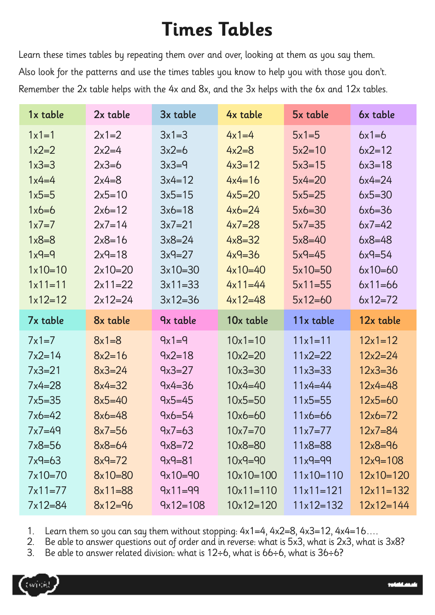## **Times Tables**

Learn these times tables by repeating them over and over, looking at them as you say them. Also look for the patterns and use the times tables you know to help you with those you don't. Remember the 2x table helps with the 4x and 8x, and the 3x helps with the 6x and 12x tables.

| 1x table   | 2x table   | 3x table    | 4x table    | 5x table    | 6x table     |
|------------|------------|-------------|-------------|-------------|--------------|
| $1x1=1$    | $2x1=2$    | $3x1 = 3$   | $4x1=4$     | $5x1=5$     | $6x1=6$      |
| $1x2=2$    | $2x2=4$    | $3x2=6$     | $4x2=8$     | $5x2 = 10$  | $6x2 = 12$   |
| $1x3 = 3$  | $2x3=6$    | $3x3=9$     | $4x3=12$    | $5x3 = 15$  | $6x3 = 18$   |
| $1x4=4$    | $2x4=8$    | $3x4 = 12$  | $4x4=16$    | $5x4=20$    | $6x4=24$     |
| $1x5=5$    | $2x5=10$   | $3x5 = 15$  | $4x5=20$    | $5x5=25$    | $6x5 = 30$   |
| $1x6=6$    | $2x6=12$   | $3x6 = 18$  | $4x6=24$    | $5x6=30$    | $6x6=36$     |
| $1x7=7$    | $2x7 = 14$ | $3x7 = 21$  | $4x7=28$    | $5x7 = 35$  | $6x7=42$     |
| $1x8 = 8$  | $2x8=16$   | $3x8 = 24$  | $4x8 = 32$  | $5x8 = 40$  | $6x8 = 48$   |
| $1x9=9$    | $2x9=18$   | $3x9=27$    | $4x9 = 36$  | $5x9=45$    | $6x9=54$     |
| $1x10=10$  | $2x10=20$  | $3x10=30$   | $4x10=40$   | $5x10=50$   | $6x10=60$    |
| $1x11=11$  | $2x11=22$  | $3x11=33$   | $4x11=44$   | $5x11=55$   | $6x11=66$    |
| $1x12=12$  | $2x12=24$  | $3x12 = 36$ | $4x12=48$   | $5x12=60$   | $6x12=72$    |
|            |            |             |             |             |              |
| 7x table   | 8x table   | 9x table    | 10x table   | 11x table   | 12x table    |
| $7x1=7$    | $8x1 = 8$  | $9x1=9$     | $10x1 = 10$ | $11x1=11$   | $12x1 = 12$  |
| $7x2=14$   | $8x2 = 16$ | $9x2 = 18$  | $10x2 = 20$ | $11x2 = 22$ | $12x2 = 24$  |
| $7x3 = 21$ | $8x3 = 24$ | $9x3=27$    | $10x3 = 30$ | $11x3 = 33$ | $12x3 = 36$  |
| $7x4=28$   | $8x4 = 32$ | $9x4 = 36$  | $10x4 = 40$ | $11x4 = 44$ | $12x4 = 48$  |
| $7x5 = 35$ | $8x5 = 40$ | $9x5 = 45$  | $10x5 = 50$ | $11x5 = 55$ | $12x5 = 60$  |
| $7x6=42$   | $8x6 = 48$ | $9x6 = 54$  | $10x6 = 60$ | $11x6 = 66$ | $12x6 = 72$  |
| $7x7=49$   | $8x7 = 56$ | $9x7=63$    | $10x7 = 70$ | $11x7=77$   | $12x7 = 84$  |
| $7x8=56$   | $8x8 = 64$ | $9x8=72$    | $10x8 = 80$ | $11x8 = 88$ | $12x8 = 96$  |
| $7x9=63$   | $8x9 = 72$ | $9x9 = 81$  | $10x9 = 90$ | $11x9 = 99$ | $12x9 = 108$ |
| $7x10=70$  | $8x10=80$  | $9x10=90$   | $10x10=100$ | $11x10=110$ | $12x10=120$  |
| $7x11=77$  | $8x11=88$  | $9x11=99$   | $10x11=110$ | $11x11=121$ | $12x11=132$  |

1. Learn them so you can say them without stopping: 4x1=4, 4x2=8, 4x3=12, 4x4=16….

2. Be able to answer questions out of order and in reverse: what is 5x3, what is 2x3, what is 3x8?

3. Be able to answer related division: what is 12÷6, what is 66÷6, what is 36÷6?